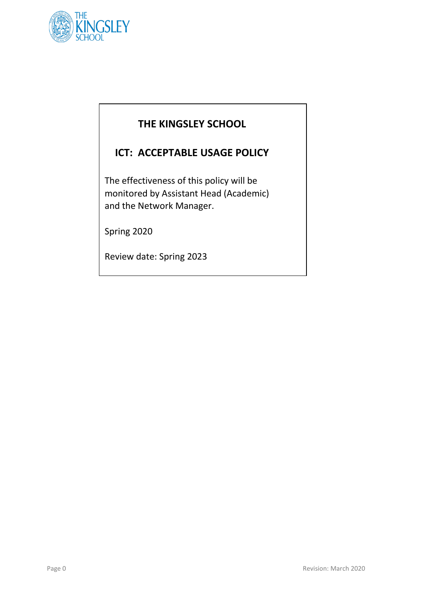

# **THE KINGSLEY SCHOOL**

## **ICT: ACCEPTABLE USAGE POLICY**

The effectiveness of this policy will be monitored by Assistant Head (Academic) and the Network Manager.

Spring 2020

Review date: Spring 2023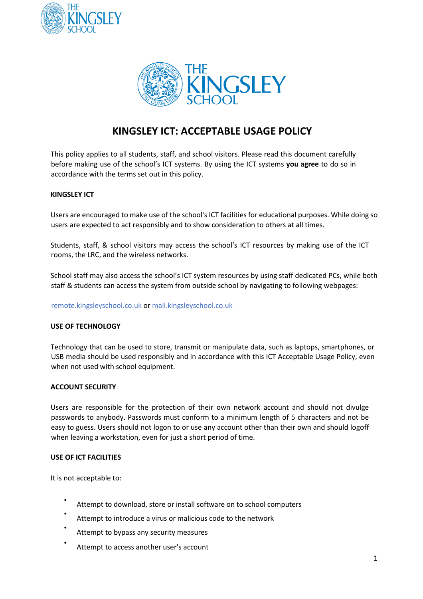



### **KINGSLEY ICT: ACCEPTABLE USAGE POLICY**

This policy applies to all students, staff, and school visitors. Please read this document carefully before making use of the school's ICT systems. By using the ICT systems **you agree** to do so in accordance with the terms set out in this policy.

#### **KINGSLEY ICT**

Users are encouraged to make use of the school's ICT facilities for educational purposes. While doing so users are expected to act responsibly and to show consideration to others at all times.

Students, staff, & school visitors may access the school's ICT resources by making use of the ICT rooms, the LRC, and the wireless networks.

School staff may also access the school's ICT system resources by using staff dedicated PCs, while both staff & students can access the system from outside school by navigating to following webpages:

remote.kingsleyschool.co.uk or mail.kingsleyschool.co.uk

#### **USE OF TECHNOLOGY**

Technology that can be used to store, transmit or manipulate data, such as laptops, smartphones, or USB media should be used responsibly and in accordance with this ICT Acceptable Usage Policy, even when not used with school equipment.

#### **ACCOUNT SECURITY**

Users are responsible for the protection of their own network account and should not divulge passwords to anybody. Passwords must conform to a minimum length of 5 characters and not be easy to guess. Users should not logon to or use any account other than their own and should logoff when leaving a workstation, even for just a short period of time.

#### **USE OF ICT FACILITIES**

It is not acceptable to:

- Attempt to download, store or install software on to school computers
- Attempt to introduce a virus or malicious code to the network
- Attempt to bypass any security measures
- Attempt to access another user's account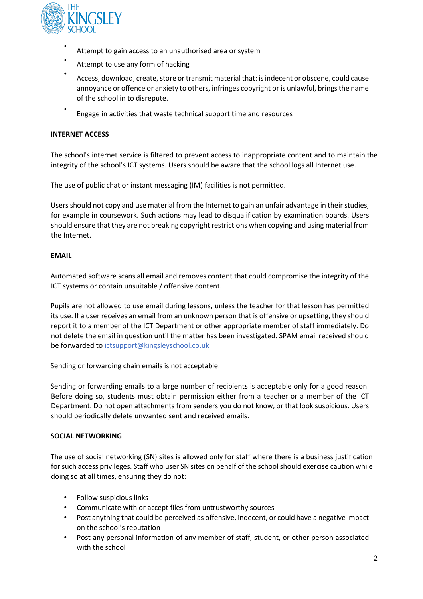

- Attempt to gain access to an unauthorised area or system
- Attempt to use any form of hacking
- Access, download, create, store or transmit material that: is indecent or obscene, could cause annoyance or offence or anxiety to others, infringes copyright or is unlawful, brings the name of the school in to disrepute.
- Engage in activities that waste technical support time and resources

### **INTERNET ACCESS**

The school's internet service is filtered to prevent access to inappropriate content and to maintain the integrity of the school's ICT systems. Users should be aware that the school logs all Internet use.

The use of public chat or instant messaging (IM) facilities is not permitted.

Users should not copy and use material from the Internet to gain an unfair advantage in their studies, for example in coursework. Such actions may lead to disqualification by examination boards. Users should ensure that they are not breaking copyright restrictions when copying and using material from the Internet.

#### **EMAIL**

Automated software scans all email and removes content that could compromise the integrity of the ICT systems or contain unsuitable / offensive content.

Pupils are not allowed to use email during lessons, unless the teacher for that lesson has permitted its use. If a user receives an email from an unknown person that is offensive or upsetting, they should report it to a member of the ICT Department or other appropriate member of staff immediately. Do not delete the email in question until the matter has been investigated. SPAM email received should be forwarded to ictsupport@kingsleyschool.co.uk

Sending or forwarding chain emails is not acceptable.

Sending or forwarding emails to a large number of recipients is acceptable only for a good reason. Before doing so, students must obtain permission either from a teacher or a member of the ICT Department. Do not open attachments from senders you do not know, or that look suspicious. Users should periodically delete unwanted sent and received emails.

#### **SOCIAL NETWORKING**

The use of social networking (SN) sites is allowed only for staff where there is a business justification for such access privileges. Staff who user SN sites on behalf of the school should exercise caution while doing so at all times, ensuring they do not:

- Follow suspicious links
- Communicate with or accept files from untrustworthy sources
- Post anything that could be perceived as offensive, indecent, or could have a negative impact on the school's reputation
- Post any personal information of any member of staff, student, or other person associated with the school